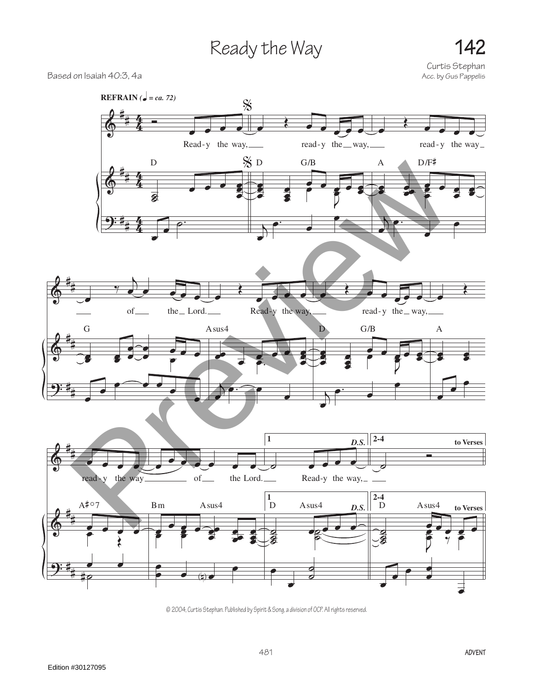## Ready the Way **142**

Curtis Stephan<br>Acc. by Gus Pappelis

## Based on Isaiah 40:3, 4a



© 2004, Curtis Stephan. Published by Spirit & Song, a division of OCP. All rights reserved.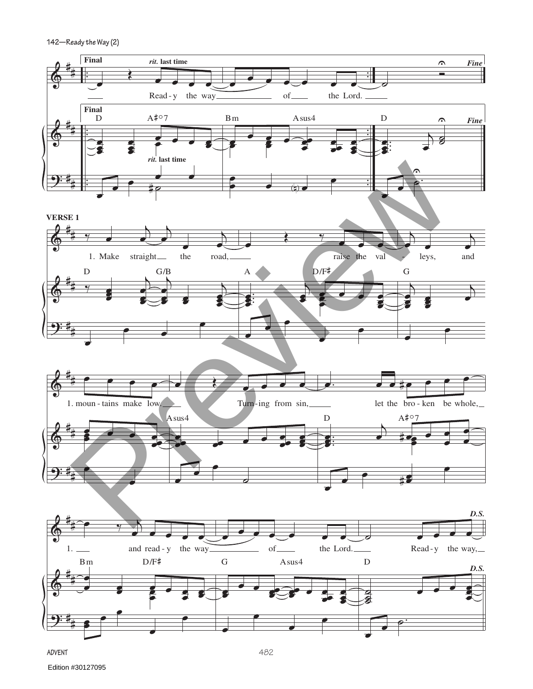**142—Ready the Way (2)**



**Advent**

Edition #30127095